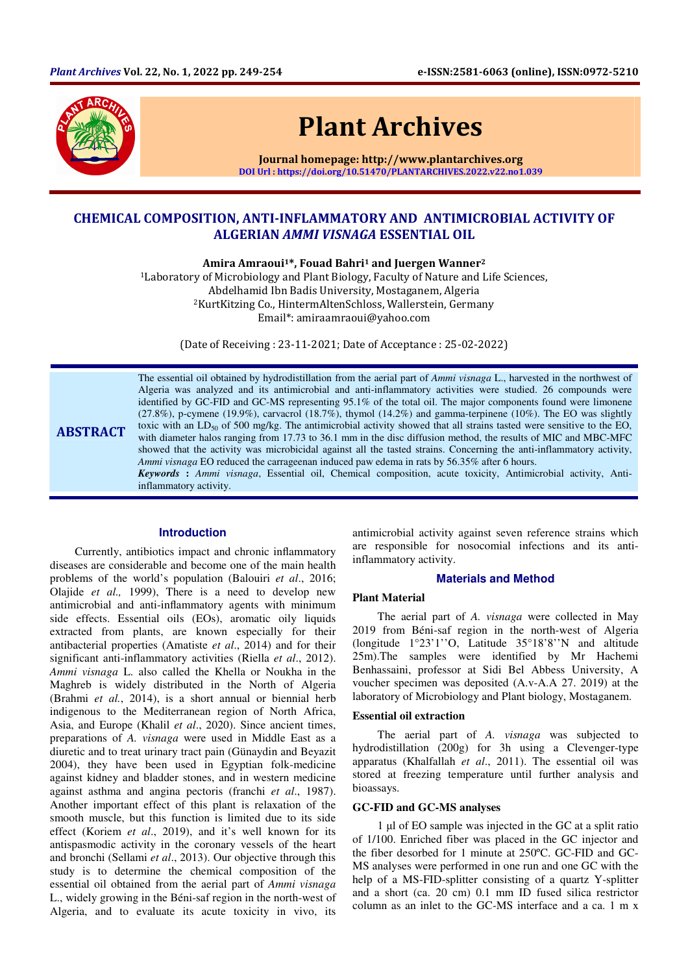

# Plant Archives

Journal homepage: http://www.plantarchives.org DOI Url : https://doi.org/10.51470/PLANTARCHIVES.2022.v22.no1.039

## CHEMICAL COMPOSITION, ANTI-INFLAMMATORY AND ANTIMICROBIAL ACTIVITY OF ALGERIAN AMMI VISNAGA ESSENTIAL OIL

Amira Amraoui<sup>1\*</sup>, Fouad Bahri<sup>1</sup> and Juergen Wanner<sup>2</sup>

<sup>1</sup>Laboratory of Microbiology and Plant Biology, Faculty of Nature and Life Sciences, Abdelhamid Ibn Badis University, Mostaganem, Algeria <sup>2</sup>KurtKitzing Co., HintermAltenSchloss, Wallerstein, Germany Email\*: amiraamraoui@yahoo.com

(Date of Receiving : 23-11-2021; Date of Acceptance : 25-02-2022)

ABSTRACT The essential oil obtained by hydrodistillation from the aerial part of *Ammi visnaga* L., harvested in the northwest of Algeria was analyzed and its antimicrobial and anti-inflammatory activities were studied. 26 compounds were identified by GC-FID and GC-MS representing 95.1% of the total oil. The major components found were limonene (27.8%), p-cymene (19.9%), carvacrol (18.7%), thymol (14.2%) and gamma-terpinene (10%). The EO was slightly toxic with an  $LD_{50}$  of 500 mg/kg. The antimicrobial activity showed that all strains tasted were sensitive to the EO, with diameter halos ranging from 17.73 to 36.1 mm in the disc diffusion method, the results of MIC and MBC-MFC showed that the activity was microbicidal against all the tasted strains. Concerning the anti-inflammatory activity, *Ammi visnaga* EO reduced the carrageenan induced paw edema in rats by 56.35% after 6 hours. *Keywords* **:** *Ammi visnaga*, Essential oil, Chemical composition, acute toxicity, Antimicrobial activity, Antiinflammatory activity.

#### **Introduction**

Currently, antibiotics impact and chronic inflammatory diseases are considerable and become one of the main health problems of the world's population (Balouiri *et al*., 2016; Olajide *et al.,* 1999), There is a need to develop new antimicrobial and anti-inflammatory agents with minimum side effects. Essential oils (EOs), aromatic oily liquids extracted from plants, are known especially for their antibacterial properties (Amatiste *et al*., 2014) and for their significant anti-inflammatory activities (Riella *et al*., 2012). *Ammi visnaga* L. also called the Khella or Noukha in the Maghreb is widely distributed in the North of Algeria (Brahmi *et al.*, 2014), is a short annual or biennial herb indigenous to the Mediterranean region of North Africa, Asia, and Europe (Khalil *et al*., 2020). Since ancient times, preparations of *A. visnaga* were used in Middle East as a diuretic and to treat urinary tract pain (Günaydin and Beyazit 2004), they have been used in Egyptian folk-medicine against kidney and bladder stones, and in western medicine against asthma and angina pectoris (franchi *et al*., 1987). Another important effect of this plant is relaxation of the smooth muscle, but this function is limited due to its side effect (Koriem *et al*., 2019), and it's well known for its antispasmodic activity in the coronary vessels of the heart and bronchi (Sellami *et al*., 2013). Our objective through this study is to determine the chemical composition of the essential oil obtained from the aerial part of *Ammi visnaga* L., widely growing in the Béni-saf region in the north-west of Algeria, and to evaluate its acute toxicity in vivo, its

antimicrobial activity against seven reference strains which are responsible for nosocomial infections and its antiinflammatory activity.

## **Materials and Method**

## **Plant Material**

The aerial part of *A. visnaga* were collected in May 2019 from Béni-saf region in the north-west of Algeria (longitude 1°23'1''O, Latitude 35°18'8''N and altitude 25m).The samples were identified by Mr Hachemi Benhassaini, professor at Sidi Bel Abbess University, A voucher specimen was deposited (A.v-A.A 27. 2019) at the laboratory of Microbiology and Plant biology, Mostaganem.

#### **Essential oil extraction**

The aerial part of *A. visnaga* was subjected to hydrodistillation (200g) for 3h using a Clevenger-type apparatus (Khalfallah *et al*., 2011). The essential oil was stored at freezing temperature until further analysis and bioassays.

#### **GC-FID and GC-MS analyses**

1 µl of EO sample was injected in the GC at a split ratio of 1/100. Enriched fiber was placed in the GC injector and the fiber desorbed for 1 minute at 250ºC. GC-FID and GC-MS analyses were performed in one run and one GC with the help of a MS-FID-splitter consisting of a quartz Y-splitter and a short (ca. 20 cm) 0.1 mm ID fused silica restrictor column as an inlet to the GC-MS interface and a ca. 1 m x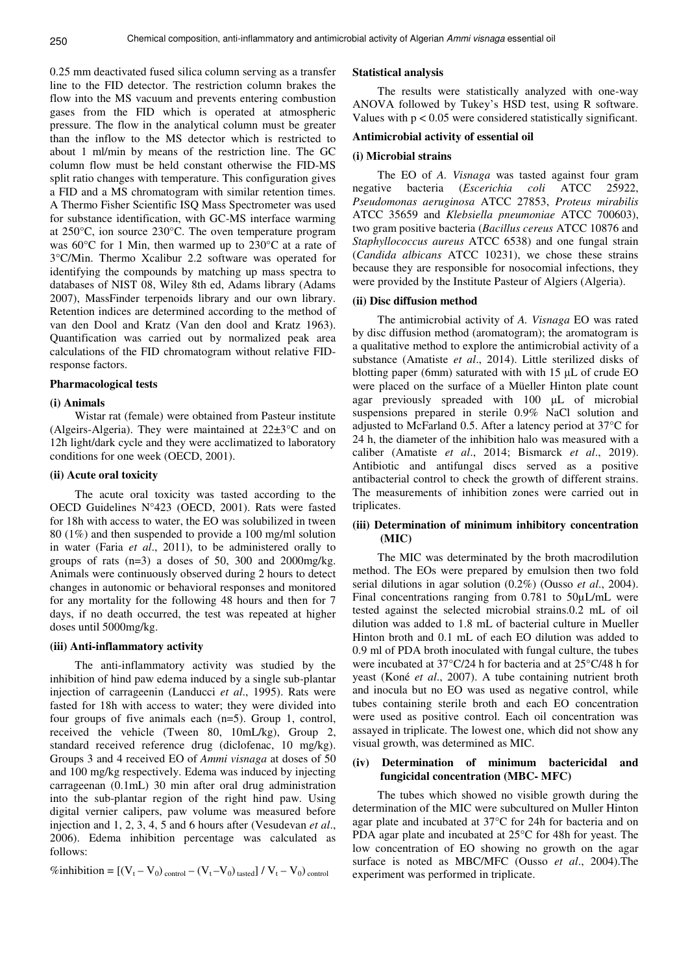0.25 mm deactivated fused silica column serving as a transfer line to the FID detector. The restriction column brakes the flow into the MS vacuum and prevents entering combustion gases from the FID which is operated at atmospheric pressure. The flow in the analytical column must be greater than the inflow to the MS detector which is restricted to about 1 ml/min by means of the restriction line. The GC column flow must be held constant otherwise the FID-MS split ratio changes with temperature. This configuration gives a FID and a MS chromatogram with similar retention times. A Thermo Fisher Scientific ISQ Mass Spectrometer was used for substance identification, with GC-MS interface warming at 250°C, ion source 230°C. The oven temperature program was 60°C for 1 Min, then warmed up to 230°C at a rate of 3°C/Min. Thermo Xcalibur 2.2 software was operated for identifying the compounds by matching up mass spectra to databases of NIST 08, Wiley 8th ed, Adams library (Adams 2007), MassFinder terpenoids library and our own library. Retention indices are determined according to the method of van den Dool and Kratz (Van den dool and Kratz 1963). Quantification was carried out by normalized peak area calculations of the FID chromatogram without relative FIDresponse factors.

#### **Pharmacological tests**

#### **(i) Animals**

Wistar rat (female) were obtained from Pasteur institute (Algeirs-Algeria). They were maintained at 22±3°C and on 12h light/dark cycle and they were acclimatized to laboratory conditions for one week (OECD, 2001).

## **(ii) Acute oral toxicity**

The acute oral toxicity was tasted according to the OECD Guidelines N°423 (OECD, 2001). Rats were fasted for 18h with access to water, the EO was solubilized in tween 80 (1%) and then suspended to provide a 100 mg/ml solution in water (Faria *et al*., 2011), to be administered orally to groups of rats  $(n=3)$  a doses of 50, 300 and 2000mg/kg. Animals were continuously observed during 2 hours to detect changes in autonomic or behavioral responses and monitored for any mortality for the following 48 hours and then for 7 days, if no death occurred, the test was repeated at higher doses until 5000mg/kg.

#### **(iii) Anti-inflammatory activity**

The anti-inflammatory activity was studied by the inhibition of hind paw edema induced by a single sub-plantar injection of carrageenin (Landucci *et al*., 1995). Rats were fasted for 18h with access to water; they were divided into four groups of five animals each (n=5). Group 1, control, received the vehicle (Tween 80, 10mL/kg), Group 2, standard received reference drug (diclofenac, 10 mg/kg). Groups 3 and 4 received EO of *Ammi visnaga* at doses of 50 and 100 mg/kg respectively. Edema was induced by injecting carrageenan (0.1mL) 30 min after oral drug administration into the sub-plantar region of the right hind paw. Using digital vernier calipers, paw volume was measured before injection and 1, 2, 3, 4, 5 and 6 hours after (Vesudevan *et al*., 2006). Edema inhibition percentage was calculated as follows:

$$
\%inhibition = [(V_t - V_0)_{control} - (V_t - V_0)_{tasted}] / V_t - V_0_{control}
$$

#### **Statistical analysis**

The results were statistically analyzed with one-way ANOVA followed by Tukey's HSD test, using R software. Values with  $p < 0.05$  were considered statistically significant.

#### **Antimicrobial activity of essential oil**

#### **(i) Microbial strains**

The EO of *A. Visnaga* was tasted against four gram negative bacteria (*Escerichia coli* ATCC 25922, *Pseudomonas aeruginosa* ATCC 27853, *Proteus mirabilis*  ATCC 35659 and *Klebsiella pneumoniae* ATCC 700603), two gram positive bacteria (*Bacillus cereus* ATCC 10876 and *Staphyllococcus aureus* ATCC 6538) and one fungal strain (*Candida albicans* ATCC 10231), we chose these strains because they are responsible for nosocomial infections, they were provided by the Institute Pasteur of Algiers (Algeria).

#### **(ii) Disc diffusion method**

The antimicrobial activity of *A. Visnaga* EO was rated by disc diffusion method (aromatogram); the aromatogram is a qualitative method to explore the antimicrobial activity of a substance (Amatiste *et al*., 2014). Little sterilized disks of blotting paper (6mm) saturated with with 15 µL of crude EO were placed on the surface of a Müeller Hinton plate count agar previously spreaded with 100 µL of microbial suspensions prepared in sterile 0.9% NaCl solution and adjusted to McFarland 0.5. After a latency period at 37°C for 24 h, the diameter of the inhibition halo was measured with a caliber (Amatiste *et al*., 2014; Bismarck *et al*., 2019). Antibiotic and antifungal discs served as a positive antibacterial control to check the growth of different strains. The measurements of inhibition zones were carried out in triplicates.

## **(iii) Determination of minimum inhibitory concentration (MIC)**

The MIC was determinated by the broth macrodilution method. The EOs were prepared by emulsion then two fold serial dilutions in agar solution (0.2%) (Ousso *et al*., 2004). Final concentrations ranging from 0.781 to 50µL/mL were tested against the selected microbial strains.0.2 mL of oil dilution was added to 1.8 mL of bacterial culture in Mueller Hinton broth and 0.1 mL of each EO dilution was added to 0.9 ml of PDA broth inoculated with fungal culture, the tubes were incubated at 37°C/24 h for bacteria and at 25°C/48 h for yeast (Koné *et al*., 2007). A tube containing nutrient broth and inocula but no EO was used as negative control, while tubes containing sterile broth and each EO concentration were used as positive control. Each oil concentration was assayed in triplicate. The lowest one, which did not show any visual growth, was determined as MIC.

## **(iv) Determination of minimum bactericidal and fungicidal concentration (MBC- MFC)**

The tubes which showed no visible growth during the determination of the MIC were subcultured on Muller Hinton agar plate and incubated at 37°C for 24h for bacteria and on PDA agar plate and incubated at 25°C for 48h for yeast. The low concentration of EO showing no growth on the agar surface is noted as MBC/MFC (Ousso *et al*., 2004).The experiment was performed in triplicate.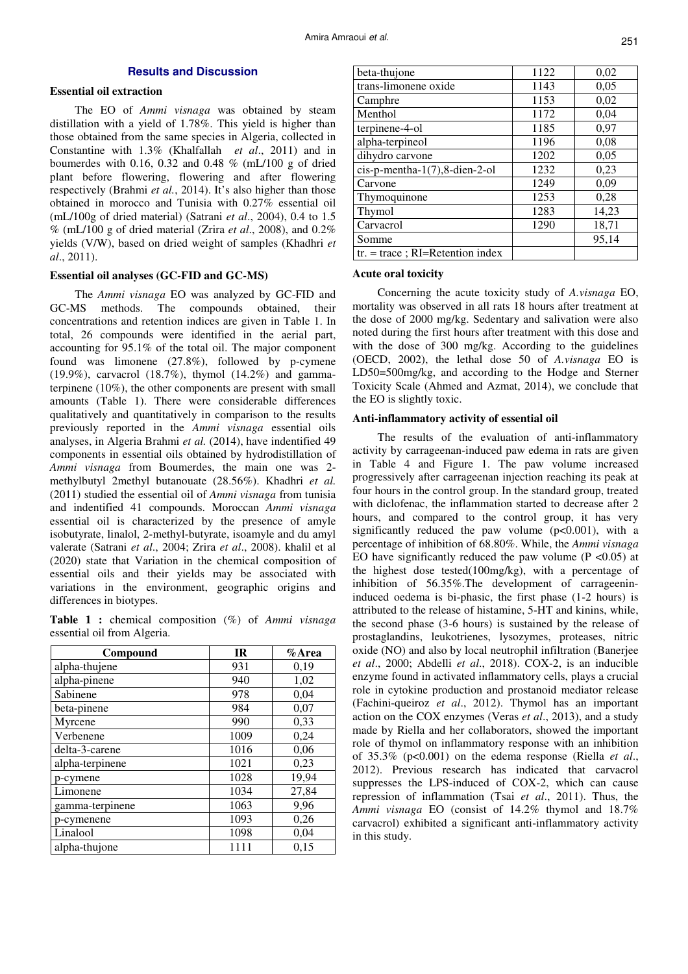## **Results and Discussion**

## **Essential oil extraction**

The EO of *Ammi visnaga* was obtained by steam distillation with a yield of 1.78%. This yield is higher than those obtained from the same species in Algeria, collected in Constantine with 1.3% (Khalfallah *et al*., 2011) and in boumerdes with 0.16, 0.32 and 0.48 % (mL/100 g of dried plant before flowering, flowering and after flowering respectively (Brahmi *et al.*, 2014). It's also higher than those obtained in morocco and Tunisia with 0.27% essential oil (mL/100g of dried material) (Satrani *et al*., 2004), 0.4 to 1.5 % (mL/100 g of dried material (Zrira *et al*., 2008), and 0.2% yields (V/W), based on dried weight of samples (Khadhri *et al*., 2011).

## **Essential oil analyses (GC-FID and GC-MS)**

The *Ammi visnaga* EO was analyzed by GC-FID and GC-MS methods. The compounds obtained, their concentrations and retention indices are given in Table 1. In total, 26 compounds were identified in the aerial part, accounting for 95.1% of the total oil. The major component found was limonene (27.8%), followed by p-cymene (19.9%), carvacrol (18.7%), thymol (14.2%) and gammaterpinene (10%), the other components are present with small amounts (Table 1). There were considerable differences qualitatively and quantitatively in comparison to the results previously reported in the *Ammi visnaga* essential oils analyses, in Algeria Brahmi *et al.* (2014), have indentified 49 components in essential oils obtained by hydrodistillation of *Ammi visnaga* from Boumerdes, the main one was 2 methylbutyl 2methyl butanouate (28.56%). Khadhri *et al.* (2011) studied the essential oil of *Ammi visnaga* from tunisia and indentified 41 compounds. Moroccan *Ammi visnaga*  essential oil is characterized by the presence of amyle isobutyrate, linalol, 2-methyl-butyrate, isoamyle and du amyl valerate (Satrani *et al*., 2004; Zrira *et al*., 2008). khalil et al (2020) state that Variation in the chemical composition of essential oils and their yields may be associated with variations in the environment, geographic origins and differences in biotypes.

**Table 1 :** chemical composition (%) of *Ammi visnaga*  essential oil from Algeria.

| Compound        | <b>IR</b> | $%$ Area |
|-----------------|-----------|----------|
| alpha-thujene   | 931       | 0,19     |
| alpha-pinene    | 940       | 1,02     |
| Sabinene        | 978       | 0,04     |
| beta-pinene     | 984       | 0,07     |
| Myrcene         | 990       | 0,33     |
| Verbenene       | 1009      | 0,24     |
| delta-3-carene  | 1016      | 0,06     |
| alpha-terpinene | 1021      | 0,23     |
| p-cymene        | 1028      | 19,94    |
| Limonene        | 1034      | 27,84    |
| gamma-terpinene | 1063      | 9,96     |
| p-cymenene      | 1093      | 0,26     |
| Linalool        | 1098      | 0,04     |
| alpha-thujone   | 1111      | 0,15     |

| beta-thujone                       | 1122 | 0,02  |
|------------------------------------|------|-------|
| trans-limonene oxide               | 1143 | 0,05  |
| Camphre                            | 1153 | 0,02  |
| Menthol                            | 1172 | 0,04  |
| terpinene-4-ol                     | 1185 | 0,97  |
| alpha-terpineol                    | 1196 | 0,08  |
| dihydro carvone                    | 1202 | 0,05  |
| $cis$ -p-mentha-1(7),8-dien-2-ol   | 1232 | 0,23  |
| Carvone                            | 1249 | 0,09  |
| Thymoquinone                       | 1253 | 0,28  |
| Thymol                             | 1283 | 14,23 |
| Carvacrol                          | 1290 | 18,71 |
| Somme                              |      | 95,14 |
| $tr. = trace$ ; RI=Retention index |      |       |

#### **Acute oral toxicity**

Concerning the acute toxicity study of *A.visnaga* EO, mortality was observed in all rats 18 hours after treatment at the dose of 2000 mg/kg. Sedentary and salivation were also noted during the first hours after treatment with this dose and with the dose of 300 mg/kg. According to the guidelines (OECD, 2002), the lethal dose 50 of *A.visnaga* EO is LD50=500mg/kg, and according to the Hodge and Sterner Toxicity Scale (Ahmed and Azmat, 2014), we conclude that the EO is slightly toxic.

#### **Anti-inflammatory activity of essential oil**

The results of the evaluation of anti-inflammatory activity by carrageenan-induced paw edema in rats are given in Table 4 and Figure 1. The paw volume increased progressively after carrageenan injection reaching its peak at four hours in the control group. In the standard group, treated with diclofenac, the inflammation started to decrease after 2 hours, and compared to the control group, it has very significantly reduced the paw volume  $(p<0.001)$ , with a percentage of inhibition of 68.80%. While, the *Ammi visnaga*  EO have significantly reduced the paw volume  $(P \le 0.05)$  at the highest dose tested(100mg/kg), with a percentage of inhibition of 56.35%.The development of carrageenininduced oedema is bi-phasic, the first phase (1-2 hours) is attributed to the release of histamine, 5-HT and kinins, while, the second phase (3-6 hours) is sustained by the release of prostaglandins, leukotrienes, lysozymes, proteases, nitric oxide (NO) and also by local neutrophil infiltration (Banerjee *et al*., 2000; Abdelli *et al*., 2018). COX-2, is an inducible enzyme found in activated inflammatory cells, plays a crucial role in cytokine production and prostanoid mediator release (Fachini-queiroz *et al*., 2012). Thymol has an important action on the COX enzymes (Veras *et al*., 2013), and a study made by Riella and her collaborators, showed the important role of thymol on inflammatory response with an inhibition of 35.3% (p<0.001) on the edema response (Riella *et al*., 2012). Previous research has indicated that carvacrol suppresses the LPS-induced of COX-2, which can cause repression of inflammation (Tsai *et al*., 2011). Thus, the *Ammi visnaga* EO (consist of 14.2% thymol and 18.7% carvacrol) exhibited a significant anti-inflammatory activity in this study.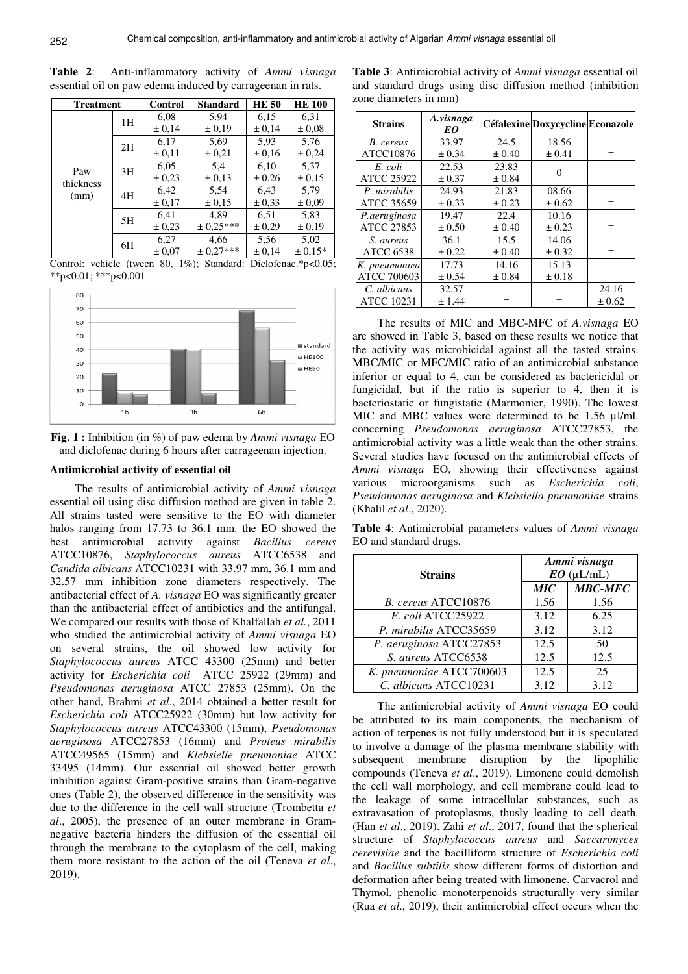| <b>Treatment</b>         |    | <b>Control</b> | <b>Standard</b> | <b>HE 50</b> | <b>HE 100</b> |
|--------------------------|----|----------------|-----------------|--------------|---------------|
| Paw<br>thickness<br>(mm) | 1H | 6,08           | 5.94            | 6,15         | 6,31          |
|                          |    | ± 0,14         | ± 0.19          | ± 0,14       | ± 0.08        |
|                          | 2H | 6,17           | 5,69            | 5,93         | 5.76          |
|                          |    | ± 0,11         | ± 0,21          | ± 0.16       | ± 0,24        |
|                          | 3H | 6,05           | 5,4             | 6.10         | 5,37          |
|                          |    | ± 0.23         | ± 0.13          | ± 0,26       | ± 0.15        |
|                          | 4H | 6,42           | 5,54            | 6.43         | 5,79          |
|                          |    | ± 0.17         | ± 0.15          | ± 0.33       | ± 0.09        |
|                          | 5H | 6,41           | 4.89            | 6,51         | 5,83          |
|                          |    | ± 0,23         | $\pm$ 0.25***   | ± 0,29       | ± 0.19        |
|                          | 6H | 6,27           | 4,66            | 5,56         | 5,02          |
|                          |    | ± 0,07         | $± 0,27***$     | ± 0,14       | $± 0.15*$     |

**Table 2**: Anti-inflammatory activity of *Ammi visnaga* essential oil on paw edema induced by carrageenan in rats.

Control: vehicle (tween 80, 1%); Standard: Diclofenac.\*p<0.05;  $*p<0.01$ ;  $**p<0.001$ 



**Fig. 1 :** Inhibition (in %) of paw edema by *Ammi visnaga* EO and diclofenac during 6 hours after carrageenan injection.

#### **Antimicrobial activity of essential oil**

The results of antimicrobial activity of *Ammi visnaga*  essential oil using disc diffusion method are given in table 2. All strains tasted were sensitive to the EO with diameter halos ranging from 17.73 to 36.1 mm. the EO showed the best antimicrobial activity against *Bacillus cereus*  ATCC10876, *Staphylococcus aureus* ATCC6538 and *Candida albicans* ATCC10231 with 33.97 mm, 36.1 mm and 32.57 mm inhibition zone diameters respectively. The antibacterial effect of *A. visnaga* EO was significantly greater than the antibacterial effect of antibiotics and the antifungal. We compared our results with those of Khalfallah *et al.*, 2011 who studied the antimicrobial activity of *Ammi visnaga* EO on several strains, the oil showed low activity for *Staphylococcus aureus* ATCC 43300 (25mm) and better activity for *Escherichia coli* ATCC 25922 (29mm) and *Pseudomonas aeruginosa* ATCC 27853 (25mm). On the other hand, Brahmi *et al*., 2014 obtained a better result for *Escherichia coli* ATCC25922 (30mm) but low activity for *Staphylococcus aureus* ATCC43300 (15mm), *Pseudomonas aeruginosa* ATCC27853 (16mm) and *Proteus mirabilis*  ATCC49565 (15mm) and *Klebsielle pneumoniae* ATCC 33495 (14mm). Our essential oil showed better growth inhibition against Gram-positive strains than Gram-negative ones (Table 2), the observed difference in the sensitivity was due to the difference in the cell wall structure (Trombetta *et al*., 2005), the presence of an outer membrane in Gramnegative bacteria hinders the diffusion of the essential oil through the membrane to the cytoplasm of the cell, making them more resistant to the action of the oil (Teneva *et al*., 2019).

**Table 3**: Antimicrobial activity of *Ammi visnaga* essential oil and standard drugs using disc diffusion method (inhibition zone diameters in mm)

| <b>Strains</b>     | A.visnaga<br>EO |            | Céfalexine Doxycycline Econazole |            |
|--------------------|-----------------|------------|----------------------------------|------------|
| B. cereus          | 33.97           | 24.5       | 18.56                            |            |
| ATCC10876          | ± 0.34          | $\pm 0.40$ | $\pm 0.41$                       |            |
| E. coli            | 22.53           | 23.83      |                                  |            |
| <b>ATCC 25922</b>  | ± 0.37          | ± 0.84     |                                  |            |
| P. mirabilis       | 24.93           | 21.83      | 08.66                            |            |
| ATCC 35659         | ± 0.33          | ± 0.23     | $\pm 0.62$                       |            |
| P.aeruginosa       | 19.47           | 22.4       | 10.16                            |            |
| <b>ATCC 27853</b>  | ± 0.50          | $\pm 0.40$ | $\pm 0.23$                       |            |
| S. aureus          | 36.1            | 15.5       | 14.06                            |            |
| <b>ATCC 6538</b>   | $\pm 0.22$      | $\pm 0.40$ | ± 0.32                           |            |
| K. pneumoniea      | 17.73           | 14.16      | 15.13                            |            |
| <b>ATCC 700603</b> | ± 0.54          | ± 0.84     | $\pm 0.18$                       |            |
| C. albicans        | 32.57           |            |                                  | 24.16      |
| <b>ATCC 10231</b>  | ±1.44           |            |                                  | $\pm 0.62$ |

The results of MIC and MBC-MFC of *A.visnaga* EO are showed in Table 3, based on these results we notice that the activity was microbicidal against all the tasted strains. MBC/MIC or MFC/MIC ratio of an antimicrobial substance inferior or equal to 4, can be considered as bactericidal or fungicidal, but if the ratio is superior to 4, then it is bacteriostatic or fungistatic (Marmonier, 1990). The lowest MIC and MBC values were determined to be 1.56 µl/ml. concerning *Pseudomonas aeruginosa* ATCC27853, the antimicrobial activity was a little weak than the other strains. Several studies have focused on the antimicrobial effects of *Ammi visnaga* EO, showing their effectiveness against various microorganisms such as *Escherichia coli*, *Pseudomonas aeruginosa* and *Klebsiella pneumoniae* strains (Khalil *et al*., 2020).

**Table 4**: Antimicrobial parameters values of *Ammi visnaga*  EO and standard drugs.

|                          | Ammi visnaga |                |  |
|--------------------------|--------------|----------------|--|
| <b>Strains</b>           | $EO$ (µL/mL) |                |  |
|                          | <b>MIC</b>   | <b>MBC-MFC</b> |  |
| B. cereus ATCC10876      | 1.56         | 1.56           |  |
| E. coli ATCC25922        | 3.12         | 6.25           |  |
| P. mirabilis ATCC35659   | 3.12         | 3.12           |  |
| P. aeruginosa ATCC27853  | 12.5         | 50             |  |
| S. aureus ATCC6538       | 12.5         | 12.5           |  |
| K. pneumoniae ATCC700603 | 12.5         | 25             |  |
| C. albicans ATCC10231    | 3.12         | 3.12           |  |

The antimicrobial activity of *Ammi visnaga* EO could be attributed to its main components, the mechanism of action of terpenes is not fully understood but it is speculated to involve a damage of the plasma membrane stability with subsequent membrane disruption by the lipophilic compounds (Teneva *et al*., 2019). Limonene could demolish the cell wall morphology, and cell membrane could lead to the leakage of some intracellular substances, such as extravasation of protoplasms, thusly leading to cell death. (Han *et al*., 2019). Zahi *et al*., 2017, found that the spherical structure of *Staphylococcus aureus* and *Saccarimyces cerevisiae* and the bacilliform structure of *Escherichia coli* and *Bacillus subtilis* show different forms of distortion and deformation after being treated with limonene. Carvacrol and Thymol, phenolic monoterpenoids structurally very similar (Rua *et al*., 2019), their antimicrobial effect occurs when the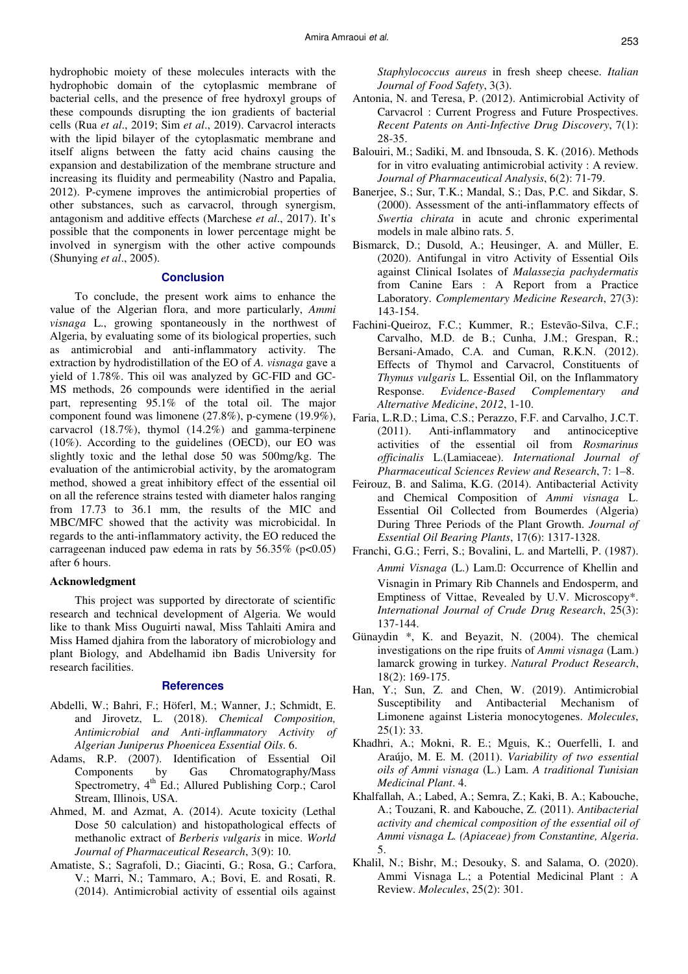hydrophobic moiety of these molecules interacts with the hydrophobic domain of the cytoplasmic membrane of bacterial cells, and the presence of free hydroxyl groups of these compounds disrupting the ion gradients of bacterial cells (Rua *et al*., 2019; Sim *et al*., 2019). Carvacrol interacts with the lipid bilayer of the cytoplasmatic membrane and itself aligns between the fatty acid chains causing the expansion and destabilization of the membrane structure and increasing its fluidity and permeability (Nastro and Papalia, 2012). P-cymene improves the antimicrobial properties of other substances, such as carvacrol, through synergism, antagonism and additive effects (Marchese *et al*., 2017). It's possible that the components in lower percentage might be involved in synergism with the other active compounds (Shunying *et al*., 2005).

#### **Conclusion**

To conclude, the present work aims to enhance the value of the Algerian flora, and more particularly, *Ammi visnaga* L., growing spontaneously in the northwest of Algeria, by evaluating some of its biological properties, such as antimicrobial and anti-inflammatory activity. The extraction by hydrodistillation of the EO of *A. visnaga* gave a yield of 1.78%. This oil was analyzed by GC-FID and GC-MS methods, 26 compounds were identified in the aerial part, representing 95.1% of the total oil. The major component found was limonene (27.8%), p-cymene (19.9%), carvacrol (18.7%), thymol (14.2%) and gamma-terpinene (10%). According to the guidelines (OECD), our EO was slightly toxic and the lethal dose 50 was 500mg/kg. The evaluation of the antimicrobial activity, by the aromatogram method, showed a great inhibitory effect of the essential oil on all the reference strains tested with diameter halos ranging from 17.73 to 36.1 mm, the results of the MIC and MBC/MFC showed that the activity was microbicidal. In regards to the anti-inflammatory activity, the EO reduced the carrageenan induced paw edema in rats by  $56.35\%$  (p<0.05) after 6 hours.

#### **Acknowledgment**

This project was supported by directorate of scientific research and technical development of Algeria. We would like to thank Miss Ouguirti nawal, Miss Tahlaiti Amira and Miss Hamed djahira from the laboratory of microbiology and plant Biology, and Abdelhamid ibn Badis University for research facilities.

#### **References**

- Abdelli, W.; Bahri, F.; Höferl, M.; Wanner, J.; Schmidt, E. and Jirovetz, L. (2018). *Chemical Composition, Antimicrobial and Anti-inflammatory Activity of Algerian Juniperus Phoenicea Essential Oils*. 6.
- Adams, R.P. (2007). Identification of Essential Oil Components by Gas Chromatography/Mass Spectrometry, 4<sup>th</sup> Ed.; Allured Publishing Corp.; Carol Stream, Illinois, USA.
- Ahmed, M. and Azmat, A. (2014). Acute toxicity (Lethal Dose 50 calculation) and histopathological effects of methanolic extract of *Berberis vulgaris* in mice. *World Journal of Pharmaceutical Research*, 3(9): 10.
- Amatiste, S.; Sagrafoli, D.; Giacinti, G.; Rosa, G.; Carfora, V.; Marri, N.; Tammaro, A.; Bovi, E. and Rosati, R. (2014). Antimicrobial activity of essential oils against

*Staphylococcus aureus* in fresh sheep cheese. *Italian Journal of Food Safety*, 3(3).

- Antonia, N. and Teresa, P. (2012). Antimicrobial Activity of Carvacrol : Current Progress and Future Prospectives. *Recent Patents on Anti-Infective Drug Discovery*, 7(1): 28-35.
- Balouiri, M.; Sadiki, M. and Ibnsouda, S. K. (2016). Methods for in vitro evaluating antimicrobial activity : A review. *Journal of Pharmaceutical Analysis*, 6(2): 71-79.
- Banerjee, S.; Sur, T.K.; Mandal, S.; Das, P.C. and Sikdar, S. (2000). Assessment of the anti-inflammatory effects of *Swertia chirata* in acute and chronic experimental models in male albino rats. 5.
- Bismarck, D.; Dusold, A.; Heusinger, A. and Müller, E. (2020). Antifungal in vitro Activity of Essential Oils against Clinical Isolates of *Malassezia pachydermatis* from Canine Ears : A Report from a Practice Laboratory. *Complementary Medicine Research*, 27(3): 143-154.
- Fachini-Queiroz, F.C.; Kummer, R.; Estevão-Silva, C.F.; Carvalho, M.D. de B.; Cunha, J.M.; Grespan, R.; Bersani-Amado, C.A. and Cuman, R.K.N. (2012). Effects of Thymol and Carvacrol, Constituents of *Thymus vulgaris* L. Essential Oil, on the Inflammatory Response. *Evidence-Based Complementary and Alternative Medicine*, *2012*, 1-10.
- Faria, L.R.D.; Lima, C.S.; Perazzo, F.F. and Carvalho, J.C.T. (2011). Anti-inflammatory and antinociceptive activities of the essential oil from *Rosmarinus officinalis* L.(Lamiaceae). *International Journal of Pharmaceutical Sciences Review and Research*, 7: 1–8.
- Feirouz, B. and Salima, K.G. (2014). Antibacterial Activity and Chemical Composition of *Ammi visnaga* L. Essential Oil Collected from Boumerdes (Algeria) During Three Periods of the Plant Growth. *Journal of Essential Oil Bearing Plants*, 17(6): 1317-1328.
- Franchi, G.G.; Ferri, S.; Bovalini, L. and Martelli, P. (1987). *Ammi Visnaga* (L.) Lam.: Occurrence of Khellin and Visnagin in Primary Rib Channels and Endosperm, and Emptiness of Vittae, Revealed by U.V. Microscopy\*. *International Journal of Crude Drug Research*, 25(3): 137-144.
- Günaydin \*, K. and Beyazit, N. (2004). The chemical investigations on the ripe fruits of *Ammi visnaga* (Lam.) lamarck growing in turkey. *Natural Product Research*, 18(2): 169-175.
- Han, Y.; Sun, Z. and Chen, W. (2019). Antimicrobial Susceptibility and Antibacterial Mechanism of Limonene against Listeria monocytogenes. *Molecules*,  $25(1): 33.$
- Khadhri, A.; Mokni, R. E.; Mguis, K.; Ouerfelli, I. and Araújo, M. E. M. (2011). *Variability of two essential oils of Ammi visnaga* (L.) Lam. *A traditional Tunisian Medicinal Plant*. 4.
- Khalfallah, A.; Labed, A.; Semra, Z.; Kaki, B. A.; Kabouche, A.; Touzani, R. and Kabouche, Z. (2011). *Antibacterial activity and chemical composition of the essential oil of Ammi visnaga L. (Apiaceae) from Constantine, Algeria*. 5.
- Khalil, N.; Bishr, M.; Desouky, S. and Salama, O. (2020). Ammi Visnaga L.; a Potential Medicinal Plant : A Review. *Molecules*, 25(2): 301.